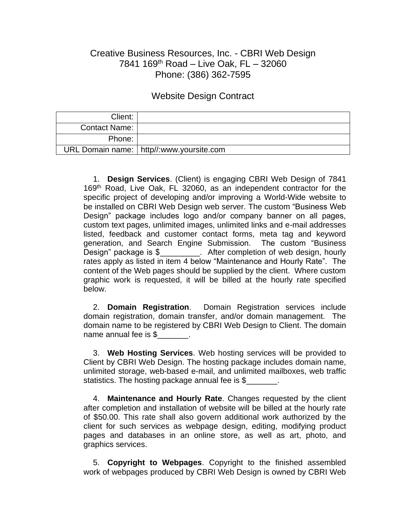## Creative Business Resources, Inc. - CBRI Web Design 7841 169th Road – Live Oak, FL – 32060 Phone: (386) 362-7595

## Website Design Contract

| Client:              |                                            |
|----------------------|--------------------------------------------|
| <b>Contact Name:</b> |                                            |
| Phone:               |                                            |
|                      | URL Domain name:   http//:www.yoursite.com |

1. **Design Services**. (Client) is engaging CBRI Web Design of 7841 169<sup>th</sup> Road, Live Oak, FL 32060, as an independent contractor for the specific project of developing and/or improving a World-Wide website to be installed on CBRI Web Design web server. The custom "Business Web Design" package includes logo and/or company banner on all pages, custom text pages, unlimited images, unlimited links and e-mail addresses listed, feedback and customer contact forms, meta tag and keyword generation, and Search Engine Submission. The custom "Business Design" package is \$\_\_\_\_\_\_\_\_. After completion of web design, hourly rates apply as listed in item 4 below "Maintenance and Hourly Rate". The content of the Web pages should be supplied by the client. Where custom graphic work is requested, it will be billed at the hourly rate specified below.

2. **Domain Registration**. Domain Registration services include domain registration, domain transfer, and/or domain management. The domain name to be registered by CBRI Web Design to Client. The domain name annual fee is \$

3. **Web Hosting Services**. Web hosting services will be provided to Client by CBRI Web Design. The hosting package includes domain name, unlimited storage, web-based e-mail, and unlimited mailboxes, web traffic statistics. The hosting package annual fee is \$

4. **Maintenance and Hourly Rate**. Changes requested by the client after completion and installation of website will be billed at the hourly rate of \$50.00. This rate shall also govern additional work authorized by the client for such services as webpage design, editing, modifying product pages and databases in an online store, as well as art, photo, and graphics services.

5. **Copyright to Webpages**. Copyright to the finished assembled work of webpages produced by CBRI Web Design is owned by CBRI Web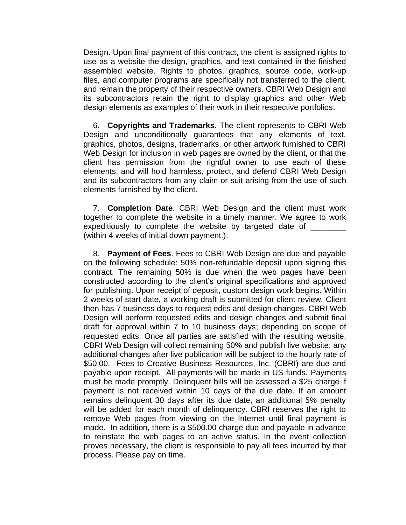Design. Upon final payment of this contract, the client is assigned rights to use as a website the design, graphics, and text contained in the finished assembled website. Rights to photos, graphics, source code, work-up files, and computer programs are specifically not transferred to the client, and remain the property of their respective owners. CBRI Web Design and its subcontractors retain the right to display graphics and other Web design elements as examples of their work in their respective portfolios.

6. **Copyrights and Trademarks**. The client represents to CBRI Web Design and unconditionally guarantees that any elements of text, graphics, photos, designs, trademarks, or other artwork furnished to CBRI Web Design for inclusion in web pages are owned by the client, or that the client has permission from the rightful owner to use each of these elements, and will hold harmless, protect, and defend CBRI Web Design and its subcontractors from any claim or suit arising from the use of such elements furnished by the client.

7. **Completion Date**. CBRI Web Design and the client must work together to complete the website in a timely manner. We agree to work expeditiously to complete the website by targeted date of (within 4 weeks of initial down payment.).

8. **Payment of Fees**. Fees to CBRI Web Design are due and payable on the following schedule: 50% non-refundable deposit upon signing this contract. The remaining 50% is due when the web pages have been constructed according to the client's original specifications and approved for publishing. Upon receipt of deposit, custom design work begins. Within 2 weeks of start date, a working draft is submitted for client review. Client then has 7 business days to request edits and design changes. CBRI Web Design will perform requested edits and design changes and submit final draft for approval within 7 to 10 business days; depending on scope of requested edits. Once all parties are satisfied with the resulting website, CBRI Web Design will collect remaining 50% and publish live website; any additional changes after live publication will be subject to the hourly rate of \$50.00. Fees to Creative Business Resources, Inc. (CBRI) are due and payable upon receipt. All payments will be made in US funds. Payments must be made promptly. Delinquent bills will be assessed a \$25 charge if payment is not received within 10 days of the due date. If an amount remains delinquent 30 days after its due date, an additional 5% penalty will be added for each month of delinquency. CBRI reserves the right to remove Web pages from viewing on the Internet until final payment is made. In addition, there is a \$500.00 charge due and payable in advance to reinstate the web pages to an active status. In the event collection proves necessary, the client is responsible to pay all fees incurred by that process. Please pay on time.